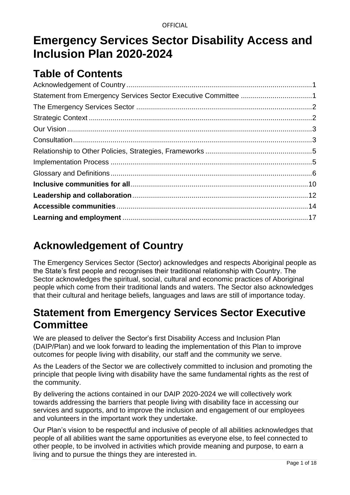# **Emergency Services Sector Disability Access and Inclusion Plan 2020-2024**

## **Table of Contents**

# <span id="page-0-0"></span>**Acknowledgement of Country**

The Emergency Services Sector (Sector) acknowledges and respects Aboriginal people as the State's first people and recognises their traditional relationship with Country. The Sector acknowledges the spiritual, social, cultural and economic practices of Aboriginal people which come from their traditional lands and waters. The Sector also acknowledges that their cultural and heritage beliefs, languages and laws are still of importance today.

# <span id="page-0-1"></span>**Statement from Emergency Services Sector Executive Committee**

We are pleased to deliver the Sector's first Disability Access and Inclusion Plan (DAIP/Plan) and we look forward to leading the implementation of this Plan to improve outcomes for people living with disability, our staff and the community we serve.

As the Leaders of the Sector we are collectively committed to inclusion and promoting the principle that people living with disability have the same fundamental rights as the rest of the community.

By delivering the actions contained in our DAIP 2020-2024 we will collectively work towards addressing the barriers that people living with disability face in accessing our services and supports, and to improve the inclusion and engagement of our employees and volunteers in the important work they undertake.

Our Plan's vision to be respectful and inclusive of people of all abilities acknowledges that people of all abilities want the same opportunities as everyone else, to feel connected to other people, to be involved in activities which provide meaning and purpose, to earn a living and to pursue the things they are interested in.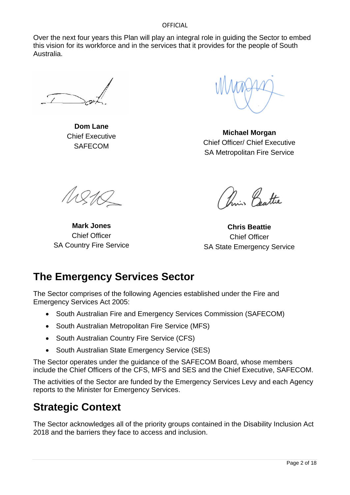Over the next four years this Plan will play an integral role in guiding the Sector to embed this vision for its workforce and in the services that it provides for the people of South Australia.

**Dom Lane** Chief Executive **SAFECOM** 

**Michael Morgan** Chief Officer/ Chief Executive SA Metropolitan Fire Service

11211

**Mark Jones** Chief Officer SA Country Fire Service

Main Battie

**Chris Beattie** Chief Officer SA State Emergency Service

# <span id="page-1-0"></span>**The Emergency Services Sector**

The Sector comprises of the following Agencies established under the Fire and Emergency Services Act 2005:

- South Australian Fire and Emergency Services Commission (SAFECOM)
- South Australian Metropolitan Fire Service (MFS)
- South Australian Country Fire Service (CFS)
- South Australian State Emergency Service (SES)

The Sector operates under the guidance of the [SAFECOM Board,](https://www.safecom.sa.gov.au/public/redirect.jsp?id=1030) whose members include the Chief Officers of the CFS, MFS and SES and the Chief Executive, SAFECOM.

The activities of the Sector are funded by the [Emergency Services Levy](https://www.safecom.sa.gov.au/public/redirect.jsp?id=3305) and each Agency reports to the [Minister for Emergency Services.](https://www.safecom.sa.gov.au/public/redirect.jsp?id=1025)

## <span id="page-1-1"></span>**Strategic Context**

The Sector acknowledges all of the priority groups contained in the Disability Inclusion Act 2018 and the barriers they face to access and inclusion.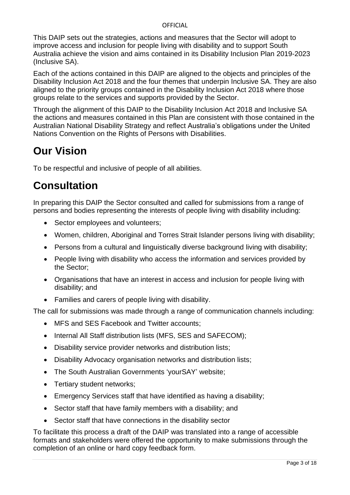This DAIP sets out the strategies, actions and measures that the Sector will adopt to improve access and inclusion for people living with disability and to support South Australia achieve the vision and aims contained in its Disability Inclusion Plan 2019-2023 (Inclusive SA).

Each of the actions contained in this DAIP are aligned to the objects and principles of the Disability Inclusion Act 2018 and the four themes that underpin Inclusive SA. They are also aligned to the priority groups contained in the Disability Inclusion Act 2018 where those groups relate to the services and supports provided by the Sector.

Through the alignment of this DAIP to the Disability Inclusion Act 2018 and Inclusive SA the actions and measures contained in this Plan are consistent with those contained in the Australian [National Disability Strategy](http://www.dss.gov.au/sites/default/files/documents/05_2012/national_disability_strategy_2010_2020.pdf) and reflect Australia's obligations under the United Nations Convention on the Rights of Persons with Disabilities.

# <span id="page-2-0"></span>**Our Vision**

To be respectful and inclusive of people of all abilities.

# <span id="page-2-1"></span>**Consultation**

In preparing this DAIP the Sector consulted and called for submissions from a range of persons and bodies representing the interests of people living with disability including:

- Sector employees and volunteers;
- Women, children, Aboriginal and Torres Strait Islander persons living with disability;
- Persons from a cultural and linguistically diverse background living with disability;
- People living with disability who access the information and services provided by the Sector;
- Organisations that have an interest in access and inclusion for people living with disability; and
- Families and carers of people living with disability.

The call for submissions was made through a range of communication channels including:

- MFS and SES Facebook and Twitter accounts:
- Internal All Staff distribution lists (MFS, SES and SAFECOM);
- Disability service provider networks and distribution lists;
- Disability Advocacy organisation networks and distribution lists;
- The South Australian Governments 'yourSAY' website;
- Tertiary student networks;
- Emergency Services staff that have identified as having a disability;
- Sector staff that have family members with a disability; and
- Sector staff that have connections in the disability sector

To facilitate this process a draft of the DAIP was translated into a range of accessible formats and stakeholders were offered the opportunity to make submissions through the completion of an online or hard copy feedback form.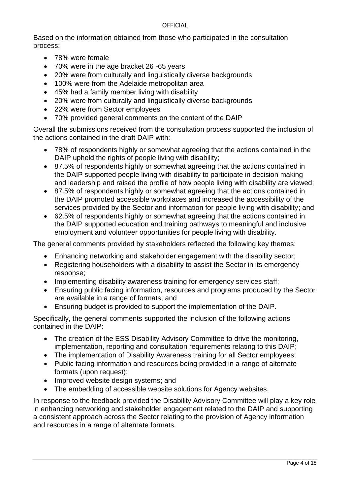Based on the information obtained from those who participated in the consultation process:

- 78% were female
- 70% were in the age bracket 26 -65 years
- 20% were from culturally and linguistically diverse backgrounds
- 100% were from the Adelaide metropolitan area
- 45% had a family member living with disability
- 20% were from culturally and linguistically diverse backgrounds
- 22% were from Sector employees
- 70% provided general comments on the content of the DAIP

Overall the submissions received from the consultation process supported the inclusion of the actions contained in the draft DAIP with:

- 78% of respondents highly or somewhat agreeing that the actions contained in the DAIP upheld the rights of people living with disability;
- 87.5% of respondents highly or somewhat agreeing that the actions contained in the DAIP supported people living with disability to participate in decision making and leadership and raised the profile of how people living with disability are viewed;
- 87.5% of respondents highly or somewhat agreeing that the actions contained in the DAIP promoted accessible workplaces and increased the accessibility of the services provided by the Sector and information for people living with disability; and
- 62.5% of respondents highly or somewhat agreeing that the actions contained in the DAIP supported education and training pathways to meaningful and inclusive employment and volunteer opportunities for people living with disability.

The general comments provided by stakeholders reflected the following key themes:

- Enhancing networking and stakeholder engagement with the disability sector;
- Registering householders with a disability to assist the Sector in its emergency response;
- Implementing disability awareness training for emergency services staff;
- Ensuring public facing information, resources and programs produced by the Sector are available in a range of formats; and
- Ensuring budget is provided to support the implementation of the DAIP.

Specifically, the general comments supported the inclusion of the following actions contained in the DAIP:

- The creation of the ESS Disability Advisory Committee to drive the monitoring, implementation, reporting and consultation requirements relating to this DAIP;
- The implementation of Disability Awareness training for all Sector employees;
- Public facing information and resources being provided in a range of alternate formats (upon request);
- Improved website design systems; and
- The embedding of accessible website solutions for Agency websites.

In response to the feedback provided the Disability Advisory Committee will play a key role in enhancing networking and stakeholder engagement related to the DAIP and supporting a consistent approach across the Sector relating to the provision of Agency information and resources in a range of alternate formats.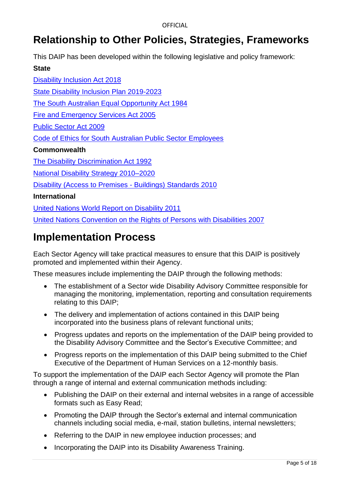# <span id="page-4-0"></span>**Relationship to Other Policies, Strategies, Frameworks**

This DAIP has been developed within the following legislative and policy framework:

## **State**

[Disability Inclusion Act 2018](https://www.legislation.sa.gov.au/LZ/C/A/DISABILITY%20INCLUSION%20ACT%202018/CURRENT/2018.1.AUTH.PDF) [State Disability Inclusion Plan 2019-2023](https://dhs.sa.gov.au/services/disability/inclusive-sa#:~:text=Inclusive%20SA%20was%20launched%20on,first%20State%20Disability%20Inclusion%20Plan.&text=The%20State%20Disability%20Inclusion%20Plan,by%20people%20living%20with%20disability.) [The South Australian Equal Opportunity Act 1984](https://www.legislation.sa.gov.au/lz/c/a/equal%20opportunity%20act%201984.aspx) [Fire and Emergency Services Act 2005](https://www.legislation.sa.gov.au/LZ/C/A/Fire%20and%20Emergency%20Services%20Act%202005.aspx) [Public Sector Act 2009](https://www.legislation.sa.gov.au/LZ/C/A/PUBLIC%20SECTOR%20ACT%202009/CURRENT/2009.37.AUTH.PDF) [Code of Ethics for South Australian Public Sector](https://www.publicsector.sa.gov.au/hr-and-policy-support/ethical-codes/code-of-ethics) Employees **Commonwealth** [The Disability Discrimination Act 1992](https://www.legislation.gov.au/Details/C2016C00763)  [National Disability Strategy 2010–2020](https://www.dss.gov.au/our-responsibilities/disability-and-carers/publications-articles/policy-research/national-disability-strategy-2010-2020) [Disability \(Access to Premises -](https://www.legislation.gov.au/Details/F2010L00668) Buildings) Standards 2010 **International**

[United Nations World Report on Disability 2011](https://www.who.int/disabilities/world_report/2011/report.pdf)

[United Nations Convention on the Rights of Persons with Disabilities 2007](https://www.un.org/disabilities/documents/convention/convoptprot-e.pdf)

## <span id="page-4-1"></span>**Implementation Process**

Each Sector Agency will take practical measures to ensure that this DAIP is positively promoted and implemented within their Agency.

These measures include implementing the DAIP through the following methods:

- The establishment of a Sector wide Disability Advisory Committee responsible for managing the monitoring, implementation, reporting and consultation requirements relating to this DAIP;
- The delivery and implementation of actions contained in this DAIP being incorporated into the business plans of relevant functional units;
- Progress updates and reports on the implementation of the DAIP being provided to the Disability Advisory Committee and the Sector's Executive Committee; and
- Progress reports on the implementation of this DAIP being submitted to the Chief Executive of the Department of Human Services on a 12-monthly basis.

To support the implementation of the DAIP each Sector Agency will promote the Plan through a range of internal and external communication methods including:

- Publishing the DAIP on their external and internal websites in a range of accessible formats such as Easy Read;
- Promoting the DAIP through the Sector's external and internal communication channels including social media, e-mail, station bulletins, internal newsletters;
- Referring to the DAIP in new employee induction processes; and
- Incorporating the DAIP into its Disability Awareness Training.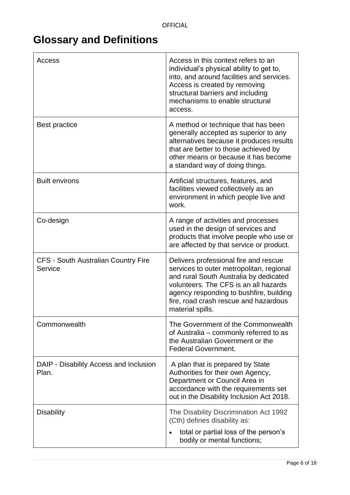# <span id="page-5-0"></span>**Glossary and Definitions**

| Access                                                | Access in this context refers to an<br>individual's physical ability to get to,<br>into, and around facilities and services.<br>Access is created by removing<br>structural barriers and including<br>mechanisms to enable structural<br>access.                             |
|-------------------------------------------------------|------------------------------------------------------------------------------------------------------------------------------------------------------------------------------------------------------------------------------------------------------------------------------|
| <b>Best practice</b>                                  | A method or technique that has been<br>generally accepted as superior to any<br>alternatives because it produces results<br>that are better to those achieved by<br>other means or because it has become<br>a standard way of doing things.                                  |
| <b>Built environs</b>                                 | Artificial structures, features, and<br>facilities viewed collectively as an<br>environment in which people live and<br>work.                                                                                                                                                |
| Co-design                                             | A range of activities and processes<br>used in the design of services and<br>products that involve people who use or<br>are affected by that service or product.                                                                                                             |
| <b>CFS - South Australian Country Fire</b><br>Service | Delivers professional fire and rescue<br>services to outer metropolitan, regional<br>and rural South Australia by dedicated<br>volunteers. The CFS is an all hazards<br>agency responding to bushfire, building<br>fire, road crash rescue and hazardous<br>material spills. |
| Commonwealth                                          | The Government of the Commonwealth<br>of Australia – commonly referred to as<br>the Australian Government or the<br><b>Federal Government.</b>                                                                                                                               |
| DAIP - Disability Access and Inclusion<br>Plan.       | A plan that is prepared by State<br>Authorities for their own Agency,<br>Department or Council Area in<br>accordance with the requirements set<br>out in the Disability Inclusion Act 2018.                                                                                  |
| <b>Disability</b>                                     | The Disability Discrimination Act 1992<br>(Cth) defines disability as:<br>total or partial loss of the person's<br>bodily or mental functions;                                                                                                                               |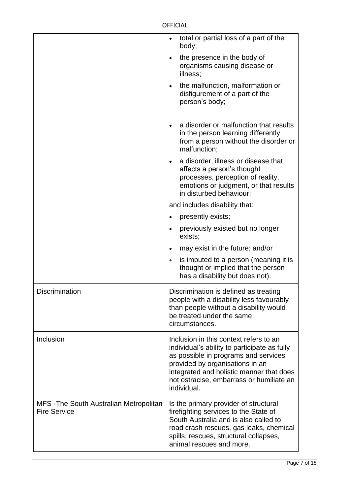|                                                                | total or partial loss of a part of the<br>$\bullet$<br>body;                                                                                                                                                                                                             |
|----------------------------------------------------------------|--------------------------------------------------------------------------------------------------------------------------------------------------------------------------------------------------------------------------------------------------------------------------|
|                                                                | the presence in the body of<br>$\bullet$<br>organisms causing disease or<br>illness;                                                                                                                                                                                     |
|                                                                | the malfunction, malformation or<br>$\bullet$<br>disfigurement of a part of the<br>person's body;                                                                                                                                                                        |
|                                                                | a disorder or malfunction that results<br>$\bullet$<br>in the person learning differently<br>from a person without the disorder or<br>malfunction;                                                                                                                       |
|                                                                | a disorder, illness or disease that<br>$\bullet$<br>affects a person's thought<br>processes, perception of reality,<br>emotions or judgment, or that results<br>in disturbed behaviour;                                                                                  |
|                                                                | and includes disability that:                                                                                                                                                                                                                                            |
|                                                                | presently exists;<br>$\bullet$                                                                                                                                                                                                                                           |
|                                                                | previously existed but no longer<br>$\bullet$<br>exists;                                                                                                                                                                                                                 |
|                                                                | may exist in the future; and/or<br>$\bullet$                                                                                                                                                                                                                             |
|                                                                | is imputed to a person (meaning it is<br>$\bullet$<br>thought or implied that the person<br>has a disability but does not).                                                                                                                                              |
| <b>Discrimination</b>                                          | Discrimination is defined as treating<br>people with a disability less favourably<br>than people without a disability would<br>be treated under the same<br>circumstances.                                                                                               |
| Inclusion                                                      | Inclusion in this context refers to an<br>individual's ability to participate as fully<br>as possible in programs and services<br>provided by organisations in an<br>integrated and holistic manner that does<br>not ostracise, embarrass or humiliate an<br>individual. |
| MFS - The South Australian Metropolitan<br><b>Fire Service</b> | Is the primary provider of structural<br>firefighting services to the State of<br>South Australia and is also called to<br>road crash rescues, gas leaks, chemical<br>spills, rescues, structural collapses,<br>animal rescues and more.                                 |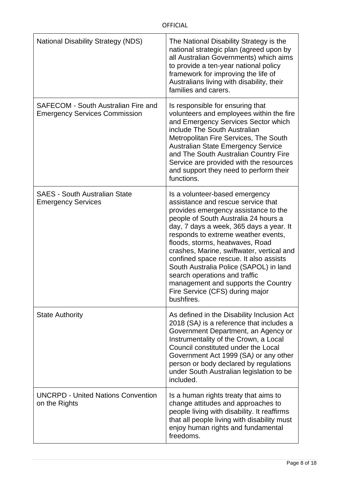| <b>National Disability Strategy (NDS)</b>                                   | The National Disability Strategy is the<br>national strategic plan (agreed upon by<br>all Australian Governments) which aims<br>to provide a ten-year national policy<br>framework for improving the life of<br>Australians living with disability, their<br>families and carers.                                                                                                                                                                                                                                                   |
|-----------------------------------------------------------------------------|-------------------------------------------------------------------------------------------------------------------------------------------------------------------------------------------------------------------------------------------------------------------------------------------------------------------------------------------------------------------------------------------------------------------------------------------------------------------------------------------------------------------------------------|
| SAFECOM - South Australian Fire and<br><b>Emergency Services Commission</b> | Is responsible for ensuring that<br>volunteers and employees within the fire<br>and Emergency Services Sector which<br>include The South Australian<br>Metropolitan Fire Services, The South<br><b>Australian State Emergency Service</b><br>and The South Australian Country Fire<br>Service are provided with the resources<br>and support they need to perform their<br>functions.                                                                                                                                               |
| <b>SAES - South Australian State</b><br><b>Emergency Services</b>           | Is a volunteer-based emergency<br>assistance and rescue service that<br>provides emergency assistance to the<br>people of South Australia 24 hours a<br>day, 7 days a week, 365 days a year. It<br>responds to extreme weather events,<br>floods, storms, heatwaves, Road<br>crashes, Marine, swiftwater, vertical and<br>confined space rescue. It also assists<br>South Australia Police (SAPOL) in land<br>search operations and traffic<br>management and supports the Country<br>Fire Service (CFS) during major<br>bushfires. |
| <b>State Authority</b>                                                      | As defined in the Disability Inclusion Act<br>2018 (SA) is a reference that includes a<br>Government Department, an Agency or<br>Instrumentality of the Crown, a Local<br>Council constituted under the Local<br>Government Act 1999 (SA) or any other<br>person or body declared by regulations<br>under South Australian legislation to be<br>included.                                                                                                                                                                           |
| <b>UNCRPD - United Nations Convention</b><br>on the Rights                  | Is a human rights treaty that aims to<br>change attitudes and approaches to<br>people living with disability. It reaffirms<br>that all people living with disability must<br>enjoy human rights and fundamental<br>freedoms.                                                                                                                                                                                                                                                                                                        |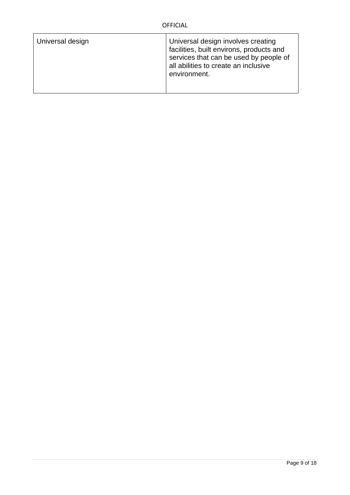| Universal design | Universal design involves creating<br>facilities, built environs, products and<br>services that can be used by people of<br>all abilities to create an inclusive<br>environment. |
|------------------|----------------------------------------------------------------------------------------------------------------------------------------------------------------------------------|
|                  |                                                                                                                                                                                  |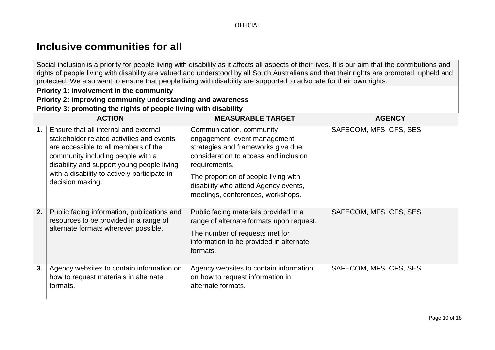## **Inclusive communities for all**

Social inclusion is a priority for people living with disability as it affects all aspects of their lives. It is our aim that the contributions and rights of people living with disability are valued and understood by all South Australians and that their rights are promoted, upheld and protected. We also want to ensure that people living with disability are supported to advocate for their own rights.

## **Priority 1: involvement in the community Priority 2: improving community understanding and awareness**

**Priority 3: promoting the rights of people living with disability**

<span id="page-9-0"></span>

|    | <b>ACTION</b>                                                                                                                                                                                                                                                                     | <b>MEASURABLE TARGET</b>                                                                                                                                 | <b>AGENCY</b>          |
|----|-----------------------------------------------------------------------------------------------------------------------------------------------------------------------------------------------------------------------------------------------------------------------------------|----------------------------------------------------------------------------------------------------------------------------------------------------------|------------------------|
| 1. | Ensure that all internal and external<br>stakeholder related activities and events<br>are accessible to all members of the<br>community including people with a<br>disability and support young people living<br>with a disability to actively participate in<br>decision making. | Communication, community<br>engagement, event management<br>strategies and frameworks give due<br>consideration to access and inclusion<br>requirements. | SAFECOM, MFS, CFS, SES |
|    |                                                                                                                                                                                                                                                                                   | The proportion of people living with<br>disability who attend Agency events,<br>meetings, conferences, workshops.                                        |                        |
| 2. | Public facing information, publications and<br>resources to be provided in a range of<br>alternate formats wherever possible.                                                                                                                                                     | Public facing materials provided in a<br>range of alternate formats upon request.                                                                        | SAFECOM, MFS, CFS, SES |
|    |                                                                                                                                                                                                                                                                                   | The number of requests met for<br>information to be provided in alternate<br>formats.                                                                    |                        |
| 3. | Agency websites to contain information on<br>how to request materials in alternate<br>formats.                                                                                                                                                                                    | Agency websites to contain information<br>on how to request information in<br>alternate formats.                                                         | SAFECOM, MFS, CFS, SES |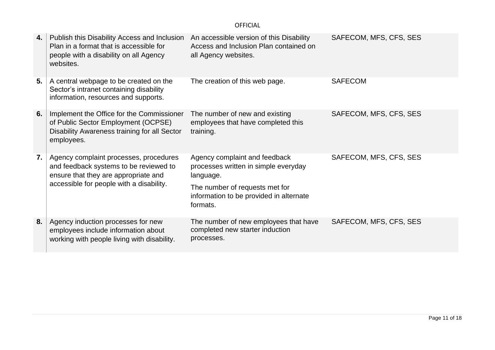| 4. | Publish this Disability Access and Inclusion<br>Plan in a format that is accessible for<br>people with a disability on all Agency<br>websites.                       | An accessible version of this Disability<br>Access and Inclusion Plan contained on<br>all Agency websites.                                                                  | SAFECOM, MFS, CFS, SES |
|----|----------------------------------------------------------------------------------------------------------------------------------------------------------------------|-----------------------------------------------------------------------------------------------------------------------------------------------------------------------------|------------------------|
| 5. | A central webpage to be created on the<br>Sector's intranet containing disability<br>information, resources and supports.                                            | The creation of this web page.                                                                                                                                              | <b>SAFECOM</b>         |
| 6. | Implement the Office for the Commissioner<br>of Public Sector Employment (OCPSE)<br>Disability Awareness training for all Sector<br>employees.                       | The number of new and existing<br>employees that have completed this<br>training.                                                                                           | SAFECOM, MFS, CFS, SES |
| 7. | Agency complaint processes, procedures<br>and feedback systems to be reviewed to<br>ensure that they are appropriate and<br>accessible for people with a disability. | Agency complaint and feedback<br>processes written in simple everyday<br>language.<br>The number of requests met for<br>information to be provided in alternate<br>formats. | SAFECOM, MFS, CFS, SES |
| 8. | Agency induction processes for new<br>employees include information about<br>working with people living with disability.                                             | The number of new employees that have<br>completed new starter induction<br>processes.                                                                                      | SAFECOM, MFS, CFS, SES |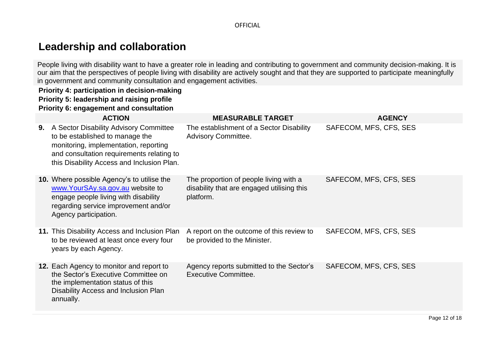## **Leadership and collaboration**

People living with disability want to have a greater role in leading and contributing to government and community decision-making. It is our aim that the perspectives of people living with disability are actively sought and that they are supported to participate meaningfully in government and community consultation and engagement activities.

### **Priority 4: participation in decision-making Priority 5: leadership and raising profile Priority 6: engagement and consultation**

<span id="page-11-0"></span>

|    | <b>ACTION</b>                                                                                                                                                                                                 | <b>MEASURABLE TARGET</b>                                                                          | <b>AGENCY</b>          |
|----|---------------------------------------------------------------------------------------------------------------------------------------------------------------------------------------------------------------|---------------------------------------------------------------------------------------------------|------------------------|
| 9. | A Sector Disability Advisory Committee<br>to be established to manage the<br>monitoring, implementation, reporting<br>and consultation requirements relating to<br>this Disability Access and Inclusion Plan. | The establishment of a Sector Disability<br><b>Advisory Committee.</b>                            | SAFECOM, MFS, CFS, SES |
|    | <b>10.</b> Where possible Agency's to utilise the<br>www.YourSAy.sa.gov.au website to<br>engage people living with disability<br>regarding service improvement and/or<br>Agency participation.                | The proportion of people living with a<br>disability that are engaged utilising this<br>platform. | SAFECOM, MFS, CFS, SES |
|    | 11. This Disability Access and Inclusion Plan<br>to be reviewed at least once every four<br>years by each Agency.                                                                                             | A report on the outcome of this review to<br>be provided to the Minister.                         | SAFECOM, MFS, CFS, SES |
|    | 12. Each Agency to monitor and report to<br>the Sector's Executive Committee on<br>the implementation status of this<br>Disability Access and Inclusion Plan<br>annually.                                     | Agency reports submitted to the Sector's<br><b>Executive Committee.</b>                           | SAFECOM, MFS, CFS, SES |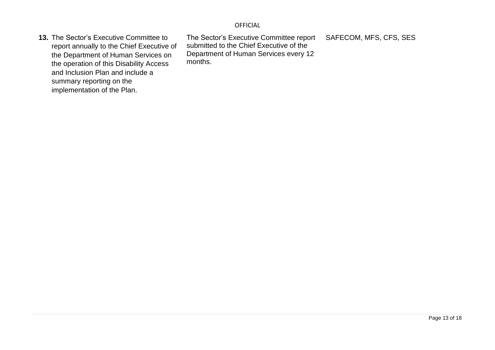**13.** The Sector's Executive Committee to report annually to the Chief Executive of the Department of Human Services on the operation of this Disability Access and Inclusion Plan and include a summary reporting on the implementation of the Plan.

The Sector's Executive Committee report submitted to the Chief Executive of the Department of Human Services every 12 months. SAFECOM, MFS, CFS, SES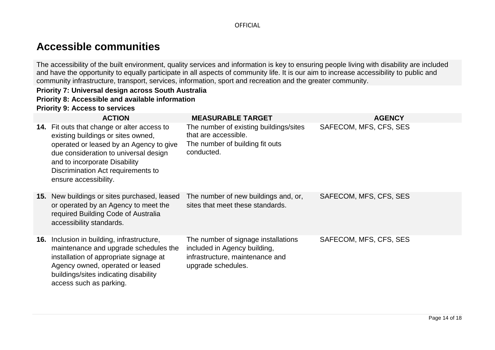## **Accessible communities**

The accessibility of the built environment, quality services and information is key to ensuring people living with disability are included and have the opportunity to equally participate in all aspects of community life. It is our aim to increase accessibility to public and community infrastructure, transport, services, information, sport and recreation and the greater community.

## **Priority 7: Universal design across South Australia**

### **Priority 8: Accessible and available information**

### **Priority 9: Access to services**

<span id="page-13-0"></span>

| <b>ACTION</b>                                                                                                                                                                                                                                                         | <b>MEASURABLE TARGET</b>                                                                                                     | <b>AGENCY</b>          |
|-----------------------------------------------------------------------------------------------------------------------------------------------------------------------------------------------------------------------------------------------------------------------|------------------------------------------------------------------------------------------------------------------------------|------------------------|
| 14. Fit outs that change or alter access to<br>existing buildings or sites owned,<br>operated or leased by an Agency to give<br>due consideration to universal design<br>and to incorporate Disability<br>Discrimination Act requirements to<br>ensure accessibility. | The number of existing buildings/sites<br>that are accessible.<br>The number of building fit outs<br>conducted.              | SAFECOM, MFS, CFS, SES |
| <b>15.</b> New buildings or sites purchased, leased<br>or operated by an Agency to meet the<br>required Building Code of Australia<br>accessibility standards.                                                                                                        | The number of new buildings and, or,<br>sites that meet these standards.                                                     | SAFECOM, MFS, CFS, SES |
| 16. Inclusion in building, infrastructure,<br>maintenance and upgrade schedules the<br>installation of appropriate signage at<br>Agency owned, operated or leased<br>buildings/sites indicating disability<br>access such as parking.                                 | The number of signage installations<br>included in Agency building,<br>infrastructure, maintenance and<br>upgrade schedules. | SAFECOM, MFS, CFS, SES |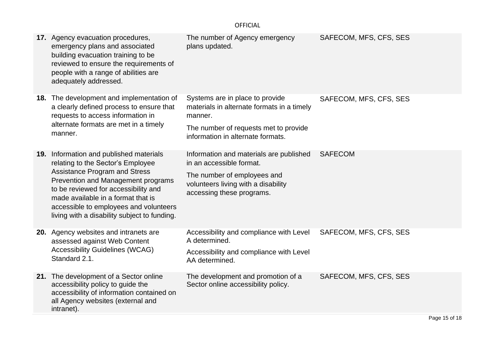|     | 17. Agency evacuation procedures,<br>emergency plans and associated<br>building evacuation training to be<br>reviewed to ensure the requirements of<br>people with a range of abilities are<br>adequately addressed.                                                                                                           | The number of Agency emergency<br>plans updated.                                                                                                                       | SAFECOM, MFS, CFS, SES |
|-----|--------------------------------------------------------------------------------------------------------------------------------------------------------------------------------------------------------------------------------------------------------------------------------------------------------------------------------|------------------------------------------------------------------------------------------------------------------------------------------------------------------------|------------------------|
|     | 18. The development and implementation of<br>a clearly defined process to ensure that<br>requests to access information in<br>alternate formats are met in a timely<br>manner.                                                                                                                                                 | Systems are in place to provide<br>materials in alternate formats in a timely<br>manner.<br>The number of requests met to provide<br>information in alternate formats. | SAFECOM, MFS, CFS, SES |
| 19. | Information and published materials<br>relating to the Sector's Employee<br><b>Assistance Program and Stress</b><br>Prevention and Management programs<br>to be reviewed for accessibility and<br>made available in a format that is<br>accessible to employees and volunteers<br>living with a disability subject to funding. | Information and materials are published<br>in an accessible format.<br>The number of employees and<br>volunteers living with a disability<br>accessing these programs. | <b>SAFECOM</b>         |
|     | 20. Agency websites and intranets are<br>assessed against Web Content<br><b>Accessibility Guidelines (WCAG)</b><br>Standard 2.1.                                                                                                                                                                                               | Accessibility and compliance with Level<br>A determined.<br>Accessibility and compliance with Level<br>AA determined.                                                  | SAFECOM, MFS, CFS, SES |
|     | 21. The development of a Sector online<br>accessibility policy to guide the<br>accessibility of information contained on<br>all Agency websites (external and<br>intranet).                                                                                                                                                    | The development and promotion of a<br>Sector online accessibility policy.                                                                                              | SAFECOM, MFS, CFS, SES |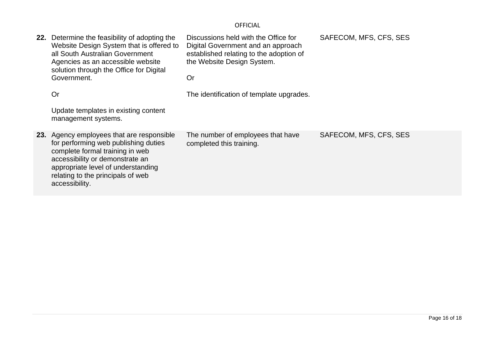| 22. | Determine the feasibility of adopting the<br>Website Design System that is offered to<br>all South Australian Government<br>Agencies as an accessible website<br>solution through the Office for Digital<br>Government.<br>Or<br>Update templates in existing content<br>management systems. | Discussions held with the Office for<br>Digital Government and an approach<br>established relating to the adoption of<br>the Website Design System.<br>Or<br>The identification of template upgrades. | SAFECOM, MFS, CFS, SES |
|-----|----------------------------------------------------------------------------------------------------------------------------------------------------------------------------------------------------------------------------------------------------------------------------------------------|-------------------------------------------------------------------------------------------------------------------------------------------------------------------------------------------------------|------------------------|
|     | 23. Agency employees that are responsible<br>for performing web publishing duties<br>complete formal training in web<br>accessibility or demonstrate an<br>appropriate level of understanding<br>relating to the principals of web<br>accessibility.                                         | The number of employees that have<br>completed this training.                                                                                                                                         | SAFECOM, MFS, CFS, SES |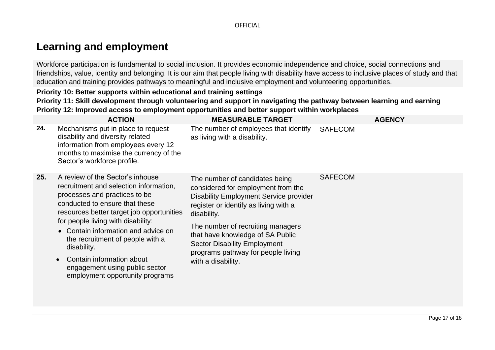## **Learning and employment**

Workforce participation is fundamental to social inclusion. It provides economic independence and choice, social connections and friendships, value, identity and belonging. It is our aim that people living with disability have access to inclusive places of study and that education and training provides pathways to meaningful and inclusive employment and volunteering opportunities.

### **Priority 10: Better supports within educational and training settings Priority 11: Skill development through volunteering and support in navigating the pathway between learning and earning Priority 12: Improved access to employment opportunities and better support within workplaces**

<span id="page-16-0"></span>

| 24.<br>Mechanisms put in place to request<br>The number of employees that identify<br><b>SAFECOM</b>                                                                                                                                                                                                                                                                                                                                                                                                                                                                                                                                                                                                                                                                                                               |  |
|--------------------------------------------------------------------------------------------------------------------------------------------------------------------------------------------------------------------------------------------------------------------------------------------------------------------------------------------------------------------------------------------------------------------------------------------------------------------------------------------------------------------------------------------------------------------------------------------------------------------------------------------------------------------------------------------------------------------------------------------------------------------------------------------------------------------|--|
| disability and diversity related<br>as living with a disability.<br>information from employees every 12<br>months to maximise the currency of the<br>Sector's workforce profile.                                                                                                                                                                                                                                                                                                                                                                                                                                                                                                                                                                                                                                   |  |
| 25.<br><b>SAFECOM</b><br>A review of the Sector's inhouse<br>The number of candidates being<br>recruitment and selection information,<br>considered for employment from the<br>processes and practices to be<br><b>Disability Employment Service provider</b><br>conducted to ensure that these<br>register or identify as living with a<br>resources better target job opportunities<br>disability.<br>for people living with disability:<br>The number of recruiting managers<br>• Contain information and advice on<br>that have knowledge of SA Public<br>the recruitment of people with a<br><b>Sector Disability Employment</b><br>disability.<br>programs pathway for people living<br>Contain information about<br>with a disability.<br>engagement using public sector<br>employment opportunity programs |  |